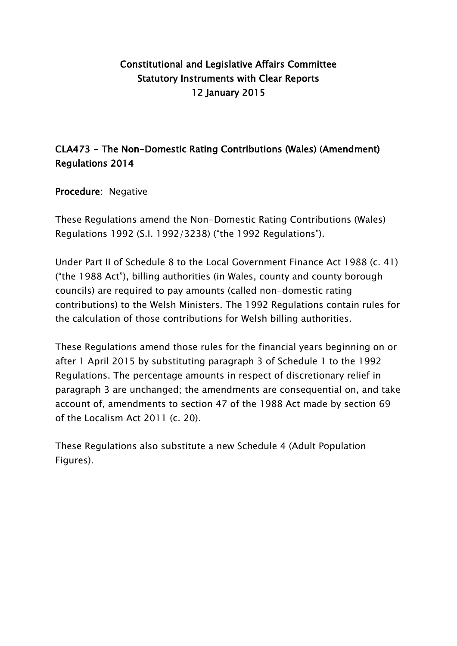## Constitutional and Legislative Affairs Committee Statutory Instruments with Clear Reports 12 January 2015

# CLA473 - The Non-Domestic Rating Contributions (Wales) (Amendment) Regulations 2014

### Procedure: Negative

These Regulations amend the Non-Domestic Rating Contributions (Wales) Regulations 1992 (S.I. 1992/3238) ("the 1992 Regulations").

Under Part II of Schedule 8 to the Local Government Finance Act 1988 (c. 41) ("the 1988 Act"), billing authorities (in Wales, county and county borough councils) are required to pay amounts (called non-domestic rating contributions) to the Welsh Ministers. The 1992 Regulations contain rules for the calculation of those contributions for Welsh billing authorities.

These Regulations amend those rules for the financial years beginning on or after 1 April 2015 by substituting paragraph 3 of Schedule 1 to the 1992 Regulations. The percentage amounts in respect of discretionary relief in paragraph 3 are unchanged; the amendments are consequential on, and take account of, amendments to section 47 of the 1988 Act made by section 69 of the Localism Act 2011 (c. 20).

These Regulations also substitute a new Schedule 4 (Adult Population Figures).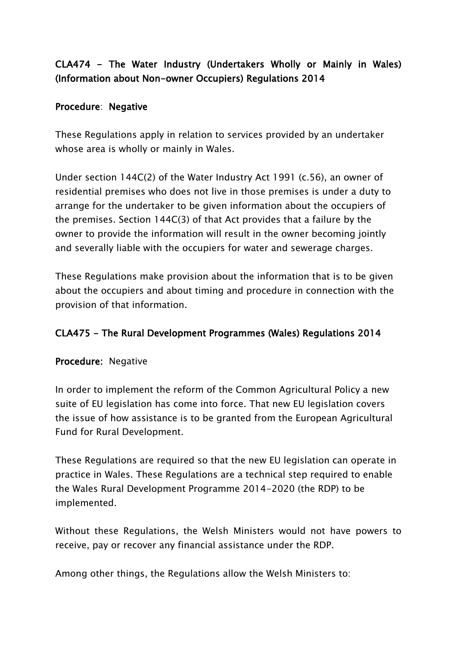# CLA474 - The Water Industry (Undertakers Wholly or Mainly in Wales) (Information about Non-owner Occupiers) Regulations 2014

### Procedure: Negative

These Regulations apply in relation to services provided by an undertaker whose area is wholly or mainly in Wales.

Under section 144C(2) of the Water Industry Act 1991 (c.56), an owner of residential premises who does not live in those premises is under a duty to arrange for the undertaker to be given information about the occupiers of the premises. Section 144C(3) of that Act provides that a failure by the owner to provide the information will result in the owner becoming jointly and severally liable with the occupiers for water and sewerage charges.

These Regulations make provision about the information that is to be given about the occupiers and about timing and procedure in connection with the provision of that information.

### CLA475 - The Rural Development Programmes (Wales) Regulations 2014

### Procedure: Negative

In order to implement the reform of the Common Agricultural Policy a new suite of EU legislation has come into force. That new EU legislation covers the issue of how assistance is to be granted from the European Agricultural Fund for Rural Development.

These Regulations are required so that the new EU legislation can operate in practice in Wales. These Regulations are a technical step required to enable the Wales Rural Development Programme 2014-2020 (the RDP) to be implemented.

Without these Regulations, the Welsh Ministers would not have powers to receive, pay or recover any financial assistance under the RDP.

Among other things, the Regulations allow the Welsh Ministers to: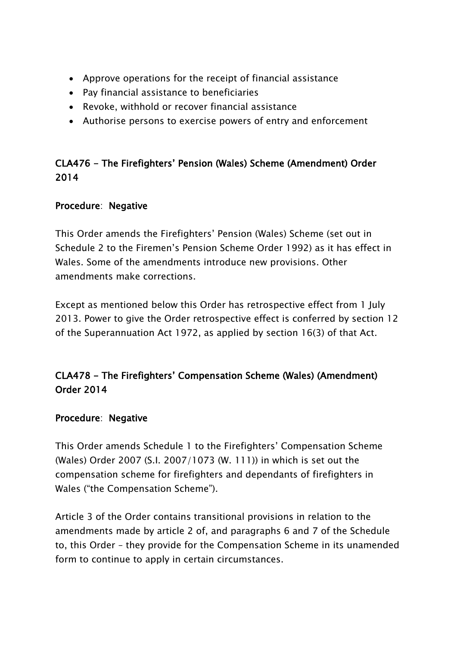- Approve operations for the receipt of financial assistance
- Pay financial assistance to beneficiaries
- Revoke, withhold or recover financial assistance
- Authorise persons to exercise powers of entry and enforcement

## CLA476 - The Firefighters' Pension (Wales) Scheme (Amendment) Order 2014

### Procedure: Negative

This Order amends the Firefighters' Pension (Wales) Scheme (set out in Schedule 2 to the Firemen's Pension Scheme Order 1992) as it has effect in Wales. Some of the amendments introduce new provisions. Other amendments make corrections.

Except as mentioned below this Order has retrospective effect from 1 July 2013. Power to give the Order retrospective effect is conferred by section 12 of the Superannuation Act 1972, as applied by section 16(3) of that Act.

# CLA478 - The Firefighters' Compensation Scheme (Wales) (Amendment) Order 2014

### Procedure: Negative

This Order amends Schedule 1 to the Firefighters' Compensation Scheme (Wales) Order 2007 (S.I. 2007/1073 (W. 111)) in which is set out the compensation scheme for firefighters and dependants of firefighters in Wales ("the Compensation Scheme").

Article 3 of the Order contains transitional provisions in relation to the amendments made by article 2 of, and paragraphs 6 and 7 of the Schedule to, this Order – they provide for the Compensation Scheme in its unamended form to continue to apply in certain circumstances.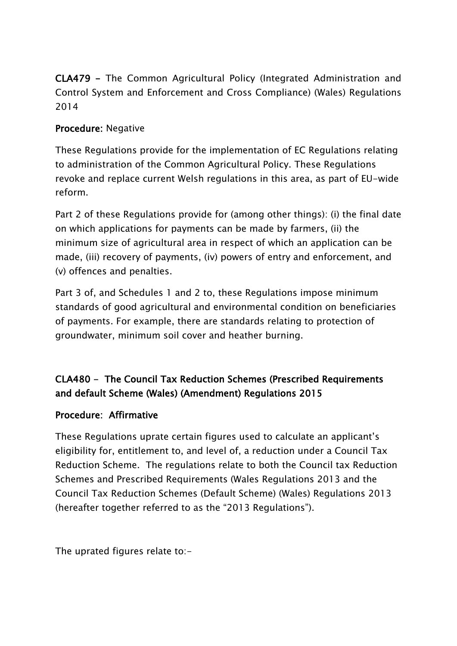CLA479 - The Common Agricultural Policy (Integrated Administration and Control System and Enforcement and Cross Compliance) (Wales) Regulations 2014

### Procedure: Negative

These Regulations provide for the implementation of EC Regulations relating to administration of the Common Agricultural Policy. These Regulations revoke and replace current Welsh regulations in this area, as part of EU-wide reform.

Part 2 of these Regulations provide for (among other things): (i) the final date on which applications for payments can be made by farmers, (ii) the minimum size of agricultural area in respect of which an application can be made, (iii) recovery of payments, (iv) powers of entry and enforcement, and (v) offences and penalties.

Part 3 of, and Schedules 1 and 2 to, these Regulations impose minimum standards of good agricultural and environmental condition on beneficiaries of payments. For example, there are standards relating to protection of groundwater, minimum soil cover and heather burning.

# CLA480 - The Council Tax Reduction Schemes (Prescribed Requirements and default Scheme (Wales) (Amendment) Regulations 2015

### Procedure: Affirmative

These Regulations uprate certain figures used to calculate an applicant's eligibility for, entitlement to, and level of, a reduction under a Council Tax Reduction Scheme. The regulations relate to both the Council tax Reduction Schemes and Prescribed Requirements (Wales Regulations 2013 and the Council Tax Reduction Schemes (Default Scheme) (Wales) Regulations 2013 (hereafter together referred to as the "2013 Regulations").

The uprated figures relate to:-